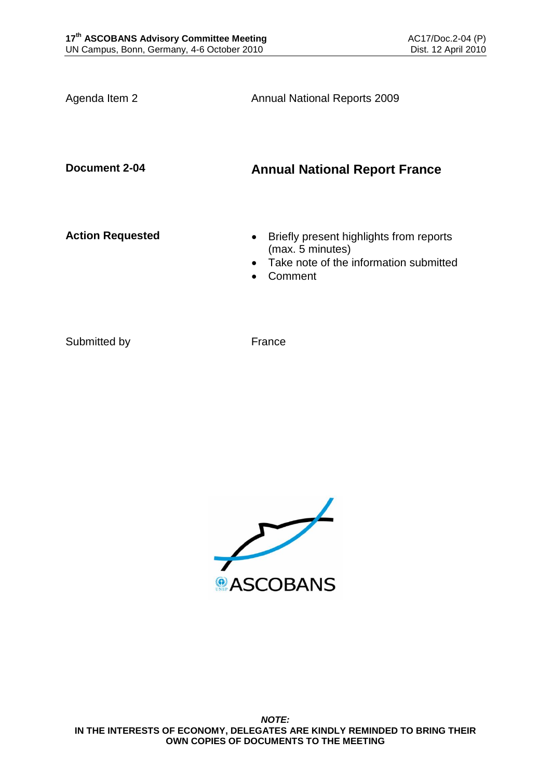Agenda Item 2 **Annual National Reports 2009** 

**Document 2-04 Annual National Report France**

- **Action Requested Briefly present highlights from reports** (max. 5 minutes)
	- Take note of the information submitted
	- Comment

Submitted by France

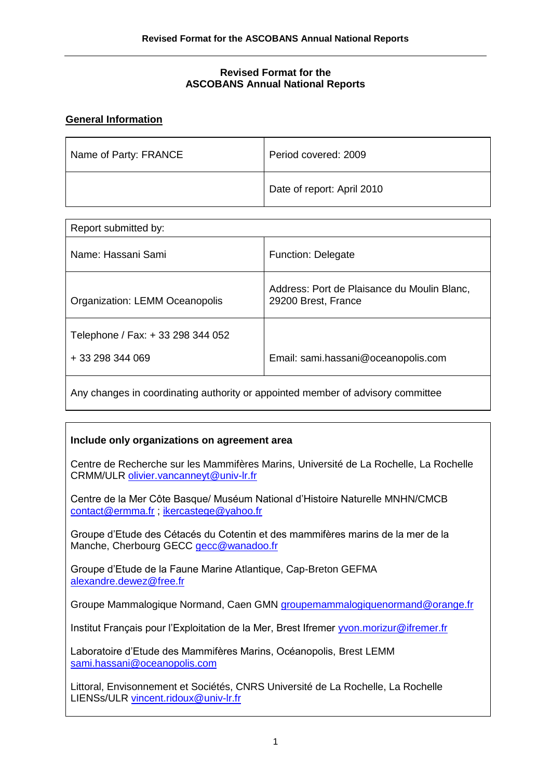### **Revised Format for the ASCOBANS Annual National Reports**

### **General Information**

| Name of Party: FRANCE | Period covered: 2009       |
|-----------------------|----------------------------|
|                       | Date of report: April 2010 |

| Report submitted by:                                  |                                                                    |
|-------------------------------------------------------|--------------------------------------------------------------------|
| Name: Hassani Sami                                    | <b>Function: Delegate</b>                                          |
| Organization: LEMM Oceanopolis                        | Address: Port de Plaisance du Moulin Blanc,<br>29200 Brest, France |
| Telephone / Fax: + 33 298 344 052<br>+ 33 298 344 069 | Email: sami.hassani@oceanopolis.com                                |
|                                                       |                                                                    |

Any changes in coordinating authority or appointed member of advisory committee

### **Include only organizations on agreement area**

Centre de Recherche sur les Mammifères Marins, Université de La Rochelle, La Rochelle CRMM/ULR [olivier.vancanneyt@univ-lr.fr](mailto:olivier.vancanneyt@univ-lr.fr)

Centre de la Mer Côte Basque/ Muséum National d'Histoire Naturelle MNHN/CMCB [contact@ermma.fr](mailto:contact@ermma.fr) ; [ikercastege@yahoo.fr](mailto:ikercastege@yahoo.fr)

Groupe d'Etude des Cétacés du Cotentin et des mammifères marins de la mer de la Manche, Cherbourg GECC [gecc@wanadoo.fr](mailto:gecc@wanadoo.fr)

Groupe d'Etude de la Faune Marine Atlantique, Cap-Breton GEFMA [alexandre.dewez@free.fr](mailto:alexandre.dewez@free.fr)

Groupe Mammalogique Normand, Caen GMN [groupemammalogiquenormand@orange.fr](mailto:groupemammalogiquenormand@orange.fr)

Institut Français pour l'Exploitation de la Mer, Brest Ifremer [yvon.morizur@ifremer.fr](mailto:yvon.morizur@ifremer.fr)

Laboratoire d'Etude des Mammifères Marins, Océanopolis, Brest LEMM [sami.hassani@oceanopolis.com](mailto:sami.hassani@oceanopolis.com)

Littoral, Envisonnement et Sociétés, CNRS Université de La Rochelle, La Rochelle LIENSs/ULR [vincent.ridoux@univ-lr.fr](mailto:vincent.ridoux@univ-lr.fr)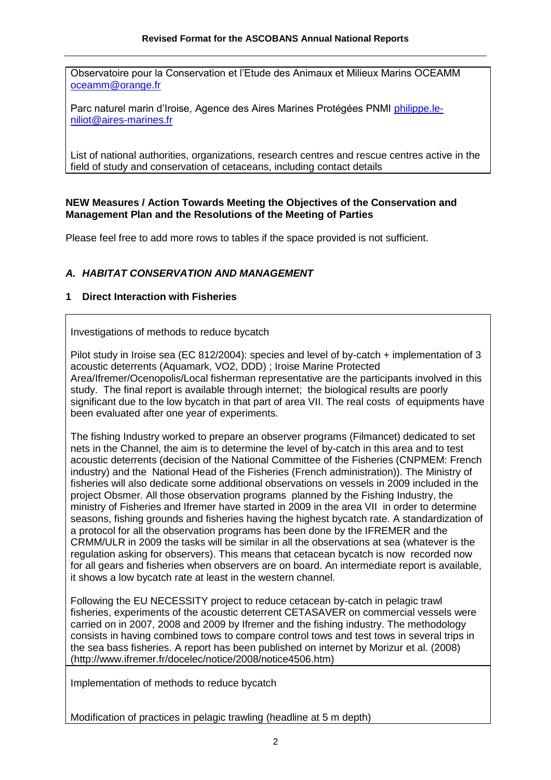Observatoire pour la Conservation et l'Etude des Animaux et Milieux Marins OCEAMM [oceamm@orange.fr](mailto:oceamm@orange.fr)

Parc naturel marin d'Iroise, Agence des Aires Marines Protégées PNMI [philippe.le](mailto:philippe.le-niliot@aires-marines.fr)[niliot@aires-marines.fr](mailto:philippe.le-niliot@aires-marines.fr)

List of national authorities, organizations, research centres and rescue centres active in the field of study and conservation of cetaceans, including contact details

### **NEW Measures / Action Towards Meeting the Objectives of the Conservation and Management Plan and the Resolutions of the Meeting of Parties**

Please feel free to add more rows to tables if the space provided is not sufficient.

### *A. HABITAT CONSERVATION AND MANAGEMENT*

### **1 Direct Interaction with Fisheries**

Investigations of methods to reduce bycatch

Pilot study in Iroise sea (EC 812/2004): species and level of by-catch + implementation of 3 acoustic deterrents (Aquamark, VO2, DDD) ; Iroise Marine Protected Area/Ifremer/Ocenopolis/Local fisherman representative are the participants involved in this study. The final report is available through internet; the biological results are poorly significant due to the low bycatch in that part of area VII. The real costs of equipments have been evaluated after one year of experiments.

The fishing Industry worked to prepare an observer programs (Filmancet) dedicated to set nets in the Channel, the aim is to determine the level of by-catch in this area and to test acoustic deterrents (decision of the National Committee of the Fisheries (CNPMEM: French industry) and the National Head of the Fisheries (French administration)). The Ministry of fisheries will also dedicate some additional observations on vessels in 2009 included in the project Obsmer. All those observation programs planned by the Fishing Industry, the ministry of Fisheries and Ifremer have started in 2009 in the area VII in order to determine seasons, fishing grounds and fisheries having the highest bycatch rate. A standardization of a protocol for all the observation programs has been done by the IFREMER and the CRMM/ULR in 2009 the tasks will be similar in all the observations at sea (whatever is the regulation asking for observers). This means that cetacean bycatch is now recorded now for all gears and fisheries when observers are on board. An intermediate report is available, it shows a low bycatch rate at least in the western channel.

Following the EU NECESSITY project to reduce cetacean by-catch in pelagic trawl fisheries, experiments of the acoustic deterrent CETASAVER on commercial vessels were carried on in 2007, 2008 and 2009 by Ifremer and the fishing industry. The methodology consists in having combined tows to compare control tows and test tows in several trips in the sea bass fisheries. A report has been published on internet by Morizur et al. (2008) (http://www.ifremer.fr/docelec/notice/2008/notice4506.htm)

Implementation of methods to reduce bycatch

Modification of practices in pelagic trawling (headline at 5 m depth)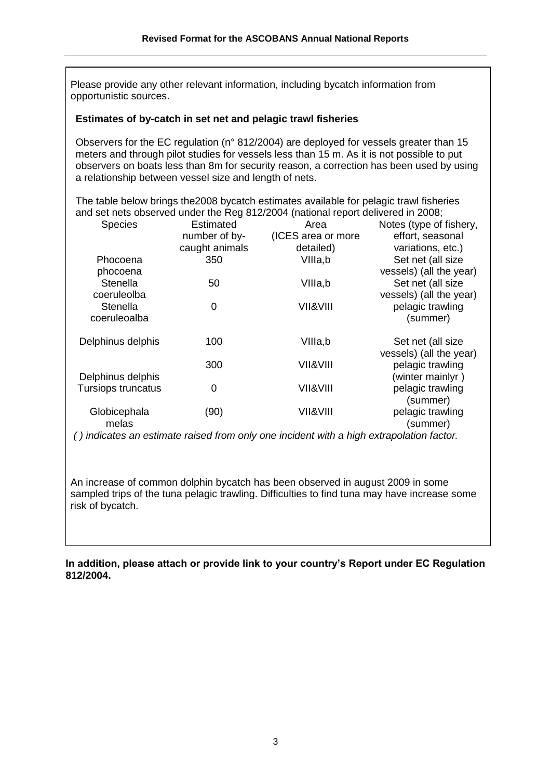Please provide any other relevant information, including bycatch information from opportunistic sources.

#### **Estimates of by-catch in set net and pelagic trawl fisheries**

Observers for the EC regulation (n° 812/2004) are deployed for vessels greater than 15 meters and through pilot studies for vessels less than 15 m. As it is not possible to put observers on boats less than 8m for security reason, a correction has been used by using a relationship between vessel size and length of nets.

The table below brings the2008 bycatch estimates available for pelagic trawl fisheries and set nets observed under the Reg 812/2004 (national report delivered in 2008;

| <b>Species</b>            | <b>Estimated</b> | Area                | Notes (type of fishery, |
|---------------------------|------------------|---------------------|-------------------------|
|                           | number of by-    | (ICES area or more  | effort, seasonal        |
|                           | caught animals   | detailed)           | variations, etc.)       |
| Phocoena                  | 350              | VIIIa,b             | Set net (all size       |
| phocoena                  |                  |                     | vessels) (all the year) |
| <b>Stenella</b>           | 50               | VIIIa,b             | Set net (all size       |
| coeruleolba               |                  |                     | vessels) (all the year) |
| <b>Stenella</b>           | 0                | VII&VIII            | pelagic trawling        |
| coeruleoalba              |                  |                     | (summer)                |
|                           |                  |                     |                         |
| Delphinus delphis         | 100              | VIIIa,b             | Set net (all size       |
|                           |                  |                     | vessels) (all the year) |
|                           | 300              | <b>VII&amp;VIII</b> | pelagic trawling        |
| Delphinus delphis         |                  |                     | (winter mainlyr)        |
| <b>Tursiops truncatus</b> | 0                | VII&VIII            | pelagic trawling        |
|                           |                  |                     | (summer)                |
| Globicephala              | (90)             | VII&VIII            | pelagic trawling        |
| melas                     |                  |                     | (summer)                |
|                           |                  |                     |                         |

*( ) indicates an estimate raised from only one incident with a high extrapolation factor.*

An increase of common dolphin bycatch has been observed in august 2009 in some sampled trips of the tuna pelagic trawling. Difficulties to find tuna may have increase some risk of bycatch.

**In addition, please attach or provide link to your country's Report under EC Regulation 812/2004.**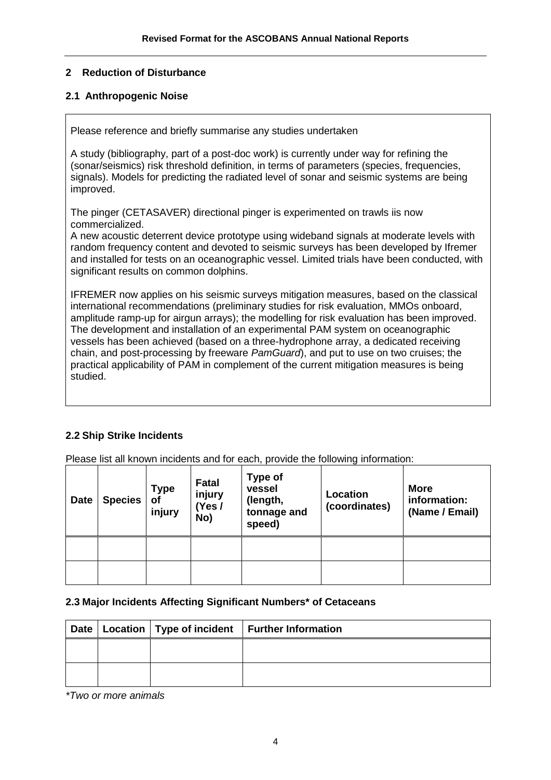# **2 Reduction of Disturbance**

### **2.1 Anthropogenic Noise**

Please reference and briefly summarise any studies undertaken

A study (bibliography, part of a post-doc work) is currently under way for refining the (sonar/seismics) risk threshold definition, in terms of parameters (species, frequencies, signals). Models for predicting the radiated level of sonar and seismic systems are being improved.

The pinger (CETASAVER) directional pinger is experimented on trawls iis now commercialized.

A new acoustic deterrent device prototype using wideband signals at moderate levels with random frequency content and devoted to seismic surveys has been developed by Ifremer and installed for tests on an oceanographic vessel. Limited trials have been conducted, with significant results on common dolphins.

IFREMER now applies on his seismic surveys mitigation measures, based on the classical international recommendations (preliminary studies for risk evaluation, MMOs onboard, amplitude ramp-up for airgun arrays); the modelling for risk evaluation has been improved. The development and installation of an experimental PAM system on oceanographic vessels has been achieved (based on a three-hydrophone array, a dedicated receiving chain, and post-processing by freeware *PamGuard*), and put to use on two cruises; the practical applicability of PAM in complement of the current mitigation measures is being studied.

# **2.2 Ship Strike Incidents**

Please list all known incidents and for each, provide the following information:

| <b>Date</b> | <b>Species</b> | <b>Type</b><br><b>of</b><br>injury | <b>Fatal</b><br>injury<br>(Yes/<br>No) | <b>Type of</b><br>vessel<br>(length,<br>tonnage and<br>speed) | Location<br>(coordinates) | <b>More</b><br>information:<br>(Name / Email) |
|-------------|----------------|------------------------------------|----------------------------------------|---------------------------------------------------------------|---------------------------|-----------------------------------------------|
|             |                |                                    |                                        |                                                               |                           |                                               |
|             |                |                                    |                                        |                                                               |                           |                                               |

### **2.3 Major Incidents Affecting Significant Numbers\* of Cetaceans**

|  | Date   Location   Type of incident   Further Information |
|--|----------------------------------------------------------|
|  |                                                          |
|  |                                                          |

*\*Two or more animals*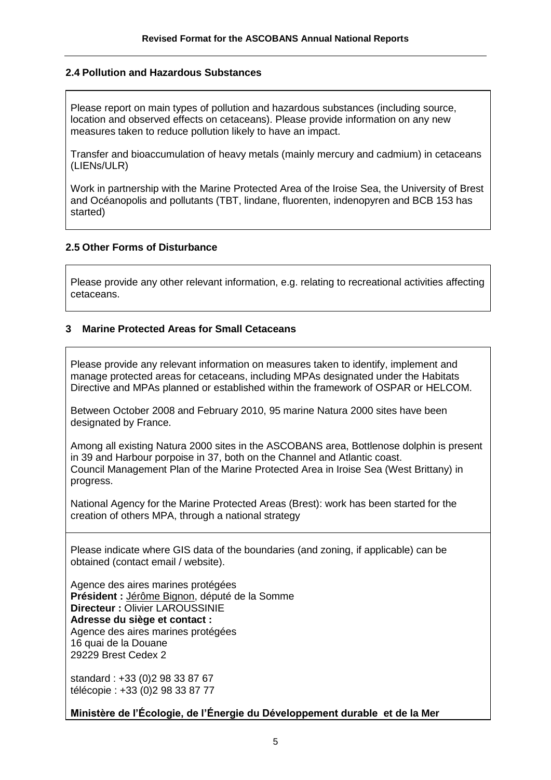### **2.4 Pollution and Hazardous Substances**

Please report on main types of pollution and hazardous substances (including source, location and observed effects on cetaceans). Please provide information on any new measures taken to reduce pollution likely to have an impact.

Transfer and bioaccumulation of heavy metals (mainly mercury and cadmium) in cetaceans (LIENs/ULR)

Work in partnership with the Marine Protected Area of the Iroise Sea, the University of Brest and Océanopolis and pollutants (TBT, lindane, fluorenten, indenopyren and BCB 153 has started)

### **2.5 Other Forms of Disturbance**

Please provide any other relevant information, e.g. relating to recreational activities affecting cetaceans.

### **3 Marine Protected Areas for Small Cetaceans**

Please provide any relevant information on measures taken to identify, implement and manage protected areas for cetaceans, including MPAs designated under the Habitats Directive and MPAs planned or established within the framework of OSPAR or HELCOM.

Between October 2008 and February 2010, 95 marine Natura 2000 sites have been designated by France.

Among all existing Natura 2000 sites in the ASCOBANS area, Bottlenose dolphin is present in 39 and Harbour porpoise in 37, both on the Channel and Atlantic coast. Council Management Plan of the Marine Protected Area in Iroise Sea (West Brittany) in progress.

National Agency for the Marine Protected Areas (Brest): work has been started for the creation of others MPA, through a national strategy

Please indicate where GIS data of the boundaries (and zoning, if applicable) can be obtained (contact email / website).

Agence des aires marines protégées **Président :** [Jérôme Bignon,](http://www.assemblee-nationale.fr/13/tribun/fiches_id/513.asp) député de la Somme **Directeur :** Olivier LAROUSSINIE **Adresse du siège et contact :** Agence des aires marines protégées 16 quai de la Douane 29229 Brest Cedex 2

standard : +33 (0)2 98 33 87 67 télécopie : +33 (0)2 98 33 87 77

**Ministère de l'Écologie, de l'Énergie du Développement durable et de la Mer**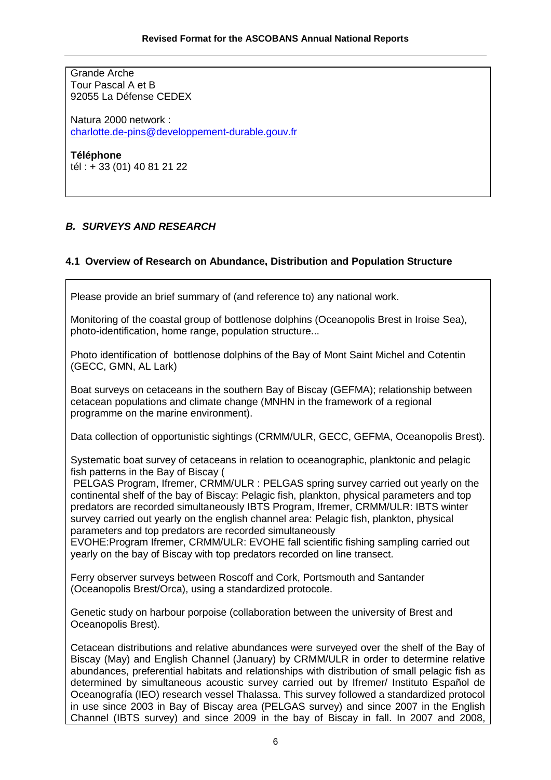Grande Arche Tour Pascal A et B 92055 La Défense CEDEX

Natura 2000 network : [charlotte.de-pins@developpement-durable.gouv.fr](mailto:charlotte.de-pins@developpement-durable.gouv.fr)

**Téléphone** tél : + 33 (01) 40 81 21 22

# *B. SURVEYS AND RESEARCH*

# **4.1 Overview of Research on Abundance, Distribution and Population Structure**

Please provide an brief summary of (and reference to) any national work.

Monitoring of the coastal group of bottlenose dolphins (Oceanopolis Brest in Iroise Sea), photo-identification, home range, population structure...

Photo identification of bottlenose dolphins of the Bay of Mont Saint Michel and Cotentin (GECC, GMN, AL Lark)

Boat surveys on cetaceans in the southern Bay of Biscay (GEFMA); relationship between cetacean populations and climate change (MNHN in the framework of a regional programme on the marine environment).

Data collection of opportunistic sightings (CRMM/ULR, GECC, GEFMA, Oceanopolis Brest).

Systematic boat survey of cetaceans in relation to oceanographic, planktonic and pelagic fish patterns in the Bay of Biscay (

PELGAS Program, Ifremer, CRMM/ULR : PELGAS spring survey carried out yearly on the continental shelf of the bay of Biscay: Pelagic fish, plankton, physical parameters and top predators are recorded simultaneously IBTS Program, Ifremer, CRMM/ULR: IBTS winter survey carried out yearly on the english channel area: Pelagic fish, plankton, physical parameters and top predators are recorded simultaneously

EVOHE:Program Ifremer, CRMM/ULR: EVOHE fall scientific fishing sampling carried out yearly on the bay of Biscay with top predators recorded on line transect.

Ferry observer surveys between Roscoff and Cork, Portsmouth and Santander (Oceanopolis Brest/Orca), using a standardized protocole.

Genetic study on harbour porpoise (collaboration between the university of Brest and Oceanopolis Brest).

Cetacean distributions and relative abundances were surveyed over the shelf of the Bay of Biscay (May) and English Channel (January) by CRMM/ULR in order to determine relative abundances, preferential habitats and relationships with distribution of small pelagic fish as determined by simultaneous acoustic survey carried out by Ifremer/ Instituto Español de Oceanografía (IEO) research vessel Thalassa. This survey followed a standardized protocol in use since 2003 in Bay of Biscay area (PELGAS survey) and since 2007 in the English Channel (IBTS survey) and since 2009 in the bay of Biscay in fall. In 2007 and 2008,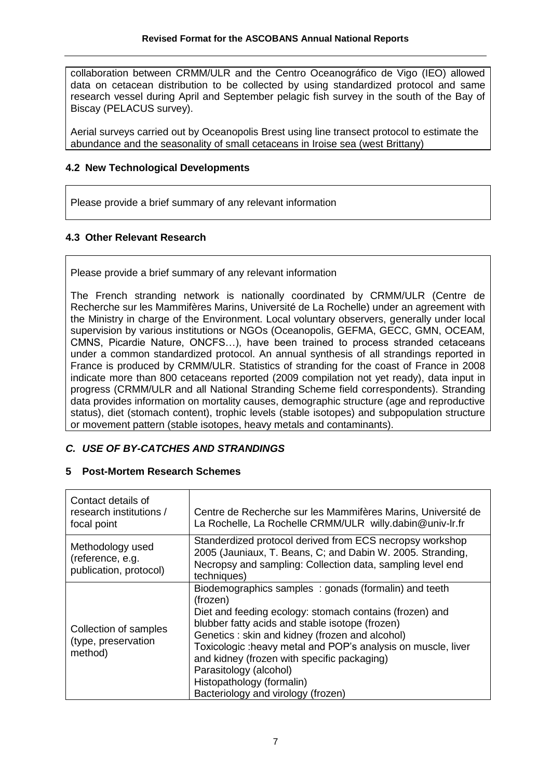collaboration between CRMM/ULR and the Centro Oceanográfico de Vigo (IEO) allowed data on cetacean distribution to be collected by using standardized protocol and same research vessel during April and September pelagic fish survey in the south of the Bay of Biscay (PELACUS survey).

Aerial surveys carried out by Oceanopolis Brest using line transect protocol to estimate the abundance and the seasonality of small cetaceans in Iroise sea (west Brittany)

### **4.2 New Technological Developments**

Please provide a brief summary of any relevant information

# **4.3 Other Relevant Research**

Please provide a brief summary of any relevant information

The French stranding network is nationally coordinated by CRMM/ULR (Centre de Recherche sur les Mammifères Marins, Université de La Rochelle) under an agreement with the Ministry in charge of the Environment. Local voluntary observers, generally under local supervision by various institutions or NGOs (Oceanopolis, GEFMA, GECC, GMN, OCEAM, CMNS, Picardie Nature, ONCFS…), have been trained to process stranded cetaceans under a common standardized protocol. An annual synthesis of all strandings reported in France is produced by CRMM/ULR. Statistics of stranding for the coast of France in 2008 indicate more than 800 cetaceans reported (2009 compilation not yet ready), data input in progress (CRMM/ULR and all National Stranding Scheme field correspondents). Stranding data provides information on mortality causes, demographic structure (age and reproductive status), diet (stomach content), trophic levels (stable isotopes) and subpopulation structure or movement pattern (stable isotopes, heavy metals and contaminants).

# *C. USE OF BY-CATCHES AND STRANDINGS*

### **5 Post-Mortem Research Schemes**

| Contact details of<br>research institutions /<br>focal point   | Centre de Recherche sur les Mammifères Marins, Université de<br>La Rochelle, La Rochelle CRMM/ULR willy.dabin@univ-Ir.fr                                                                                                                                                                                                                                                                                                                     |  |
|----------------------------------------------------------------|----------------------------------------------------------------------------------------------------------------------------------------------------------------------------------------------------------------------------------------------------------------------------------------------------------------------------------------------------------------------------------------------------------------------------------------------|--|
| Methodology used<br>(reference, e.g.<br>publication, protocol) | Standerdized protocol derived from ECS necropsy workshop<br>2005 (Jauniaux, T. Beans, C; and Dabin W. 2005. Stranding,<br>Necropsy and sampling: Collection data, sampling level end<br>techniques)                                                                                                                                                                                                                                          |  |
| Collection of samples<br>(type, preservation<br>method)        | Biodemographics samples: gonads (formalin) and teeth<br>(frozen)<br>Diet and feeding ecology: stomach contains (frozen) and<br>blubber fatty acids and stable isotope (frozen)<br>Genetics: skin and kidney (frozen and alcohol)<br>Toxicologic: heavy metal and POP's analysis on muscle, liver<br>and kidney (frozen with specific packaging)<br>Parasitology (alcohol)<br>Histopathology (formalin)<br>Bacteriology and virology (frozen) |  |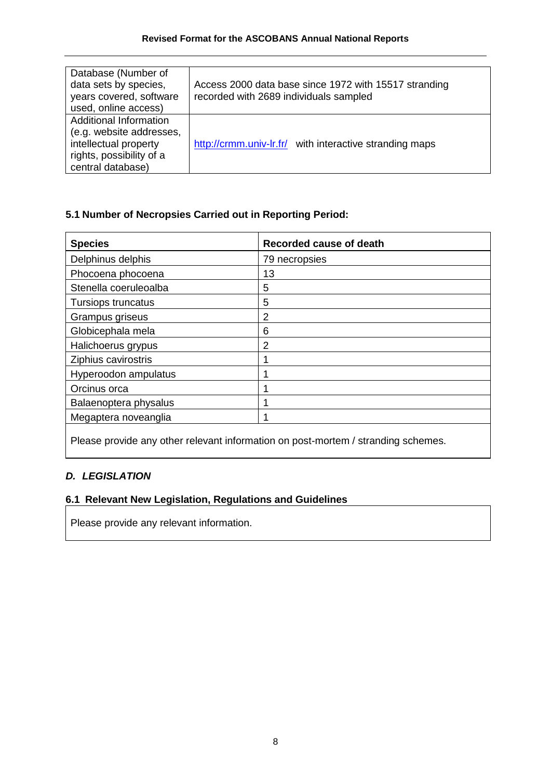| Database (Number of<br>data sets by species,<br>years covered, software<br>used, online access)                                     | Access 2000 data base since 1972 with 15517 stranding<br>recorded with 2689 individuals sampled |  |
|-------------------------------------------------------------------------------------------------------------------------------------|-------------------------------------------------------------------------------------------------|--|
| <b>Additional Information</b><br>(e.g. website addresses,<br>intellectual property<br>rights, possibility of a<br>central database) | http://crmm.univ-lr.fr/ with interactive stranding maps                                         |  |

# **5.1 Number of Necropsies Carried out in Reporting Period:**

| <b>Species</b>        | Recorded cause of death |
|-----------------------|-------------------------|
| Delphinus delphis     | 79 necropsies           |
| Phocoena phocoena     | 13                      |
| Stenella coeruleoalba | 5                       |
| Tursiops truncatus    | 5                       |
| Grampus griseus       | 2                       |
| Globicephala mela     | 6                       |
| Halichoerus grypus    | 2                       |
| Ziphius cavirostris   |                         |
| Hyperoodon ampulatus  |                         |
| Orcinus orca          |                         |
| Balaenoptera physalus |                         |
| Megaptera noveanglia  |                         |
|                       |                         |

Please provide any other relevant information on post-mortem / stranding schemes.

# *D. LEGISLATION*

# **6.1 Relevant New Legislation, Regulations and Guidelines**

Please provide any relevant information.